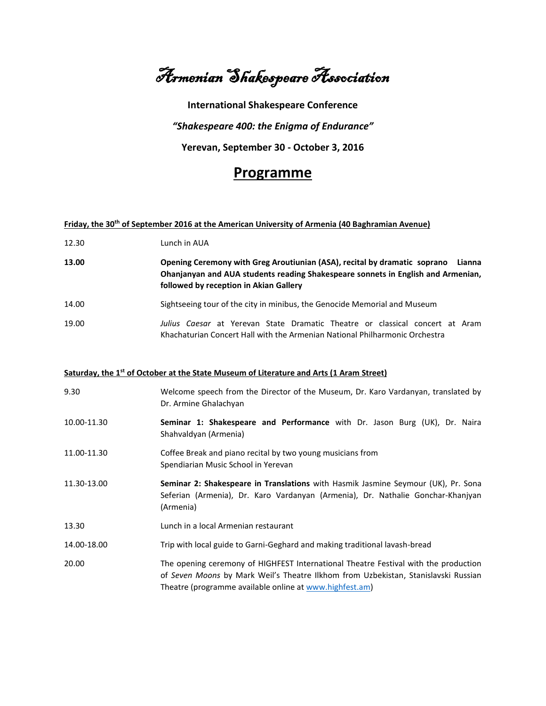Armenian Shakespeare Association

**International Shakespeare Conference** *"Shakespeare 400: the Enigma of Endurance"* **Yerevan, September 30 - October 3, 2016**

## **Programme**

## **Friday, the 30th of September 2016 at the American University of Armenia (40 Baghramian Avenue)**

| 12.30 | Lunch in AUA                                                                                                                                                                                                      |
|-------|-------------------------------------------------------------------------------------------------------------------------------------------------------------------------------------------------------------------|
| 13.00 | Opening Ceremony with Greg Aroutiunian (ASA), recital by dramatic soprano<br>Lianna<br>Ohanjanyan and AUA students reading Shakespeare sonnets in English and Armenian,<br>followed by reception in Akian Gallery |
| 14.00 | Sightseeing tour of the city in minibus, the Genocide Memorial and Museum                                                                                                                                         |
| 19.00 | Julius Caesar at Yerevan State Dramatic Theatre or classical concert at Aram<br>Khachaturian Concert Hall with the Armenian National Philharmonic Orchestra                                                       |

## **Saturday, the 1st of October at the State Museum of Literature and Arts (1 Aram Street)**

| 9.30        | Welcome speech from the Director of the Museum, Dr. Karo Vardanyan, translated by<br>Dr. Armine Ghalachyan                                                                                                                           |
|-------------|--------------------------------------------------------------------------------------------------------------------------------------------------------------------------------------------------------------------------------------|
| 10.00-11.30 | Seminar 1: Shakespeare and Performance with Dr. Jason Burg (UK), Dr. Naira<br>Shahvaldyan (Armenia)                                                                                                                                  |
| 11.00-11.30 | Coffee Break and piano recital by two young musicians from<br>Spendiarian Music School in Yerevan                                                                                                                                    |
| 11.30-13.00 | Seminar 2: Shakespeare in Translations with Hasmik Jasmine Seymour (UK), Pr. Sona<br>Seferian (Armenia), Dr. Karo Vardanyan (Armenia), Dr. Nathalie Gonchar-Khanjyan<br>(Armenia)                                                    |
| 13.30       | Lunch in a local Armenian restaurant                                                                                                                                                                                                 |
| 14.00-18.00 | Trip with local guide to Garni-Geghard and making traditional lavash-bread                                                                                                                                                           |
| 20.00       | The opening ceremony of HIGHFEST International Theatre Festival with the production<br>of Seven Moons by Mark Weil's Theatre Ilkhom from Uzbekistan, Stanislavski Russian<br>Theatre (programme available online at www.highfest.am) |